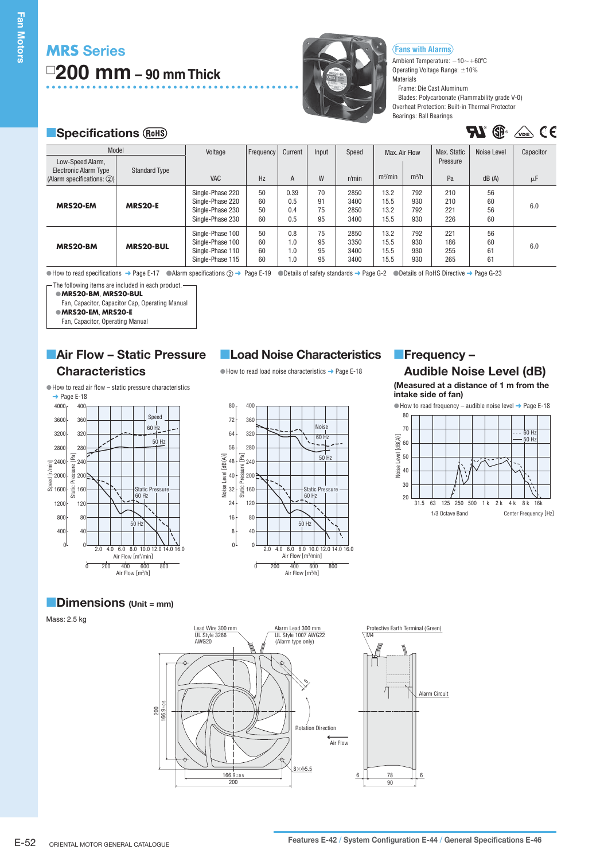# **MRS Series 200 mm – 90 mm Thick**



**Fans with Alarms**

Ambient Temperature:  $-10 {\sim} +60^{\rm o}$ C Operating Voltage Range:  $\pm 10\%$ **Materials** 

Frame: Die Cast Aluminum

Blades: Polycarbonate (Flammability grade V-0) Overheat Protection: Built-in Thermal Protector Bearings: Ball Bearings

 $\mathbf{R} \mathbf{I}$  (i)  $\mathbb{R}$  (i)  $\mathbb{R}$ 

# **Specifications**

| Model                                                                              |                      | Voltage                                                                      | Frequency            | Current                   | Input                | Speed                        | Max. Air Flow                |                          | Max. Static              | Noise Level          | Capacitor |
|------------------------------------------------------------------------------------|----------------------|------------------------------------------------------------------------------|----------------------|---------------------------|----------------------|------------------------------|------------------------------|--------------------------|--------------------------|----------------------|-----------|
| Low-Speed Alarm,<br><b>Electronic Alarm Type</b><br>(Alarm specifications: $(2)$ ) | <b>Standard Type</b> | <b>VAC</b>                                                                   | Hz                   | A                         | W                    | r/min                        | m <sup>3</sup> /min          | $m^3/h$                  | Pressure<br>Pa           | dB(A)                | μF        |
| MRS20-EM                                                                           | <b>MRS20-E</b>       | Single-Phase 220<br>Single-Phase 220<br>Single-Phase 230<br>Single-Phase 230 | 50<br>60<br>50<br>60 | 0.39<br>0.5<br>0.4<br>0.5 | 70<br>91<br>75<br>95 | 2850<br>3400<br>2850<br>3400 | 13.2<br>15.5<br>13.2<br>15.5 | 792<br>930<br>792<br>930 | 210<br>210<br>221<br>226 | 56<br>60<br>56<br>60 | 6.0       |
| MRS20-BM                                                                           | <b>MRS20-BUL</b>     | Single-Phase 100<br>Single-Phase 100<br>Single-Phase 110<br>Single-Phase 115 | 50<br>60<br>60<br>60 | 0.8<br>1.0<br>1.0<br>1.0  | 75<br>95<br>95<br>95 | 2850<br>3350<br>3400<br>3400 | 13.2<br>15.5<br>15.5<br>15.5 | 792<br>930<br>930<br>930 | 221<br>186<br>255<br>265 | 56<br>60<br>61<br>61 | 6.0       |

 $\odot$  How to read specifications  $\rightarrow$  Page E-17  $\odot$  Alarm specifications  $\oslash$   $\rightarrow$  Page E-19  $\odot$  Details of safety standards  $\rightarrow$  Page G-2  $\odot$  Details of RoHS Directive  $\rightarrow$  Page G-23

- The following items are included in each product.

**MRS20-BM**, **MRS20-BUL** -

Fan, Capacitor, Capacitor Cap, Operating Manual

**MRS20-EM**, **MRS20-E** -

Fan, Capacitor, Operating Manual

### **Air Flow – Static Pressure Characteristics**

How to read air flow – static pressure characteristics -



# **Load Noise Characteristics Frequency -**

 $\bullet$  How to read load noise characteristics  $\rightarrow$  Page E-18



# **Audible Noise Level (dB)**

**(Measured at a distance of 1 m from the intake side of fan)**





### **Dimensions (Unit = mm)**

Mass: 2.5 kg

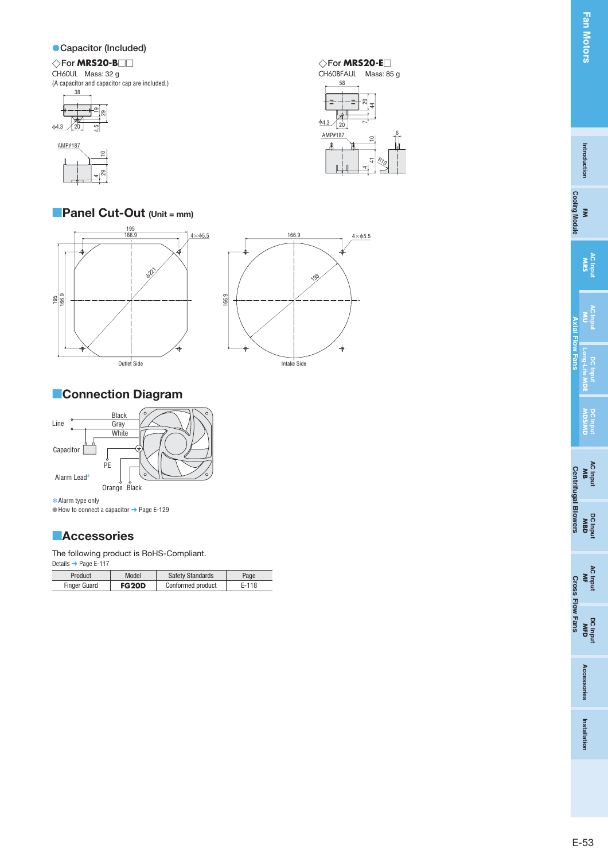#### **Capacitor (Included)**

#### **For MRS20-B For MRS20-E** CH60UL Mass: 32 g (A capacitor and capacitor cap are included.)





# **Panel Cut-Out (Unit = mm)**





# **Connection Diagram**



Alarm type only ✽ $\bullet$  How to connect a capacitor  $\rightarrow$  Page E-129

# **Accessories**

The following product is RoHS-Compliant.

| Details → Page E-117 |       |                         |      |
|----------------------|-------|-------------------------|------|
| Product              | Model | <b>Safety Standards</b> | Page |
|                      |       |                         |      |

| Product             | Model        | <b>Safety Standards</b> | Page  |
|---------------------|--------------|-------------------------|-------|
| <b>Finger Guard</b> | <b>FG20D</b> | Conformed product       | E-118 |

 $\diamondsuit$ For MRS20-E $\Box$ CH60BFAUL Mass: 85 g



**Cooling Module** 

Axial Flow

Lair.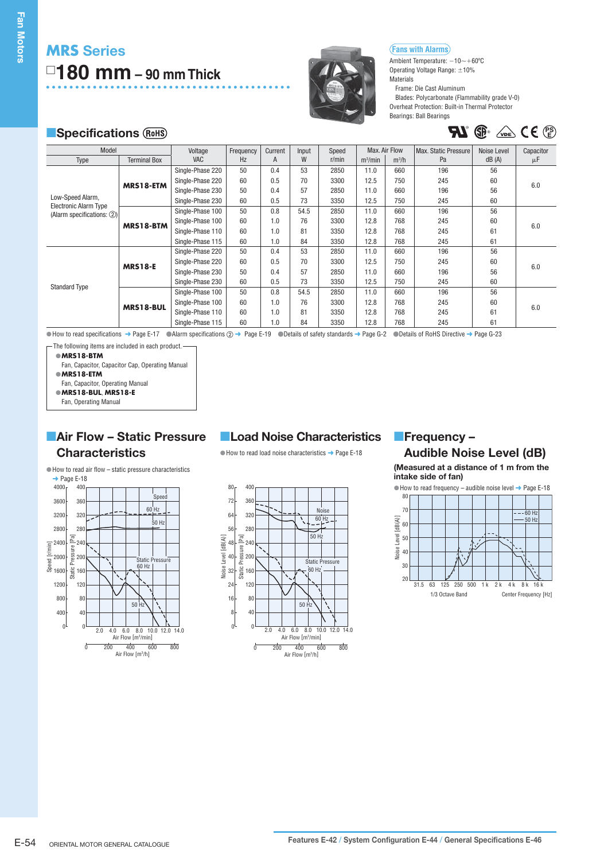# **MRS Series 180 mm – 90 mm Thick**



#### **Fans with Alarms**

Ambient Temperature:  $-10\mathtt{\sim}+60\mathtt{^oC}$ Operating Voltage Range:  $\pm 10\%$ Materials

Frame: Die Cast Aluminum

Blades: Polycarbonate (Flammability grade V-0) Overheat Protection: Built-in Thermal Protector Bearings: Ball Bearings

 $\mathbf{H}$ <sup>e</sup>  $\mathbf{F}$   $\mathbf{F}$   $\mathbf{F}$   $\mathbf{F}$   $\mathbf{F}$ 

# **Specifications** (RoHS) **Specifications** (RoHS) **PU** ( $\mathbf{F}^{\text{c}}$   $\mathbf{C} \in \mathbb{C}^{\text{PS}}$

| Model                                                     |                     | Voltage          | Frequency | Current | Input | Speed |            | Max. Air Flow | Max. Static Pressure | Noise Level | Capacitor |
|-----------------------------------------------------------|---------------------|------------------|-----------|---------|-------|-------|------------|---------------|----------------------|-------------|-----------|
| Type                                                      | <b>Terminal Box</b> | <b>VAC</b>       | Hz        | A       | W     | r/min | $m^3/m$ in | $m^3/h$       | Pa                   | dB(A)       | μF        |
|                                                           |                     | Single-Phase 220 | 50        | 0.4     | 53    | 2850  | 11.0       | 660           | 196                  | 56          | 6.0       |
|                                                           | MRS18-ETM           | Single-Phase 220 | 60        | 0.5     | 70    | 3300  | 12.5       | 750           | 245                  | 60          |           |
|                                                           |                     | Single-Phase 230 | 50        | 0.4     | 57    | 2850  | 11.0       | 660           | 196                  | 56          |           |
| Low-Speed Alarm,                                          |                     | Single-Phase 230 | 60        | 0.5     | 73    | 3350  | 12.5       | 750           | 245                  | 60          |           |
| <b>Electronic Alarm Type</b><br>(Alarm specifications: 2) | MRS18-BTM           | Single-Phase 100 | 50        | 0.8     | 54.5  | 2850  | 11.0       | 660           | 196                  | 56          |           |
|                                                           |                     | Single-Phase 100 | 60        | 1.0     | 76    | 3300  | 12.8       | 768           | 245                  | 60          | 6.0       |
|                                                           |                     | Single-Phase 110 | 60        | 1.0     | 81    | 3350  | 12.8       | 768           | 245                  | 61          |           |
|                                                           |                     | Single-Phase 115 | 60        | 1.0     | 84    | 3350  | 12.8       | 768           | 245                  | 61          |           |
|                                                           | <b>MRS18-E</b>      | Single-Phase 220 | 50        | 0.4     | 53    | 2850  | 11.0       | 660           | 196                  | 56          | 6.0       |
|                                                           |                     | Single-Phase 220 | 60        | 0.5     | 70    | 3300  | 12.5       | 750           | 245                  | 60          |           |
|                                                           |                     | Single-Phase 230 | 50        | 0.4     | 57    | 2850  | 11.0       | 660           | 196                  | 56          |           |
| <b>Standard Type</b>                                      |                     | Single-Phase 230 | 60        | 0.5     | 73    | 3350  | 12.5       | 750           | 245                  | 60          |           |
|                                                           |                     | Single-Phase 100 | 50        | 0.8     | 54.5  | 2850  | 11.0       | 660           | 196                  | 56          | 6.0       |
|                                                           | MRS18-BUL           | Single-Phase 100 | 60        | 1.0     | 76    | 3300  | 12.8       | 768           | 245                  | 60          |           |
|                                                           |                     | Single-Phase 110 | 60        | 1.0     | 81    | 3350  | 12.8       | 768           | 245                  | 61          |           |
|                                                           |                     | Single-Phase 115 | 60        | 1.0     | 84    | 3350  | 12.8       | 768           | 245                  | 61          |           |

 $\odot$  How to read specifications  $\rightarrow$  Page E-17  $\odot$  Alarm specifications  $\oslash$   $\rightarrow$  Page E-19  $\odot$  Details of safety standards  $\rightarrow$  Page G-2  $\odot$  Details of RoHS Directive  $\rightarrow$  Page G-23

- The following items are included in each product.

**MRS18-BTM** -

Fan, Capacitor, Capacitor Cap, Operating Manual

**MRS18-ETM** -

Fan, Capacitor, Operating Manual

**MRS18-BUL**, **MRS18-E** - Fan, Operating Manual

# **Air Flow – Static Pressure Characteristics**

### **Load Noise Characteristics**

 $\bullet$  How to read load noise characteristics  $\rightarrow$  Page E-18



# **Frequency –**

# **Audible Noise Level (dB)**

**(Measured at a distance of 1 m from the intake side of fan)**



How to read air flow – static pressure characteristics - → Page E-18 400 4000 Speed

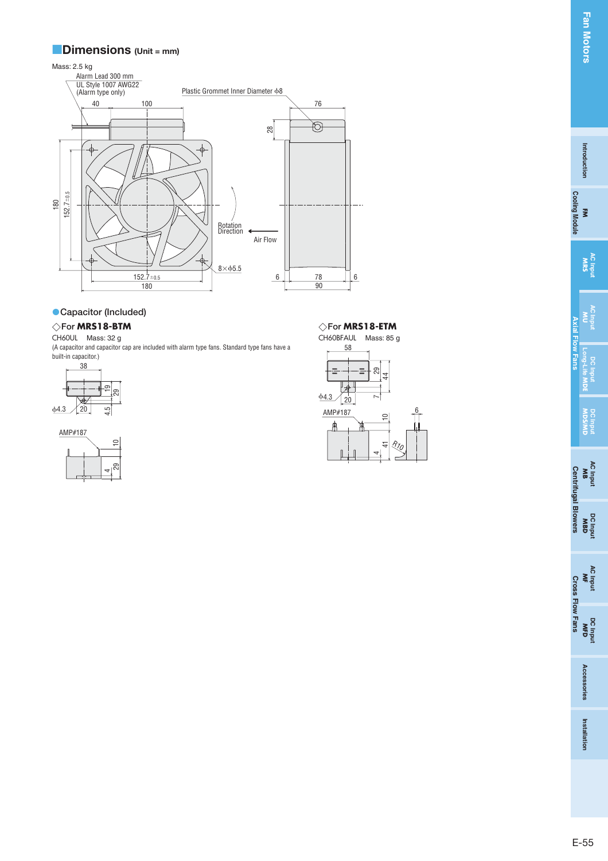#### **Dimensions (Unit = mm)**

Mass: 2.5 kg



#### **• Capacitor (Included)**

### **For MRS18-BTM**

CH60UL Mass: 32 g

(A capacitor and capacitor cap are included with alarm type fans. Standard type fans have a built-in capacitor.)



AMP#187



#### $\diamondsuit$ For **MRS18-BTM**  $\diamondsuit$ For **MRS18-ETM**



**Axial Flow Fans**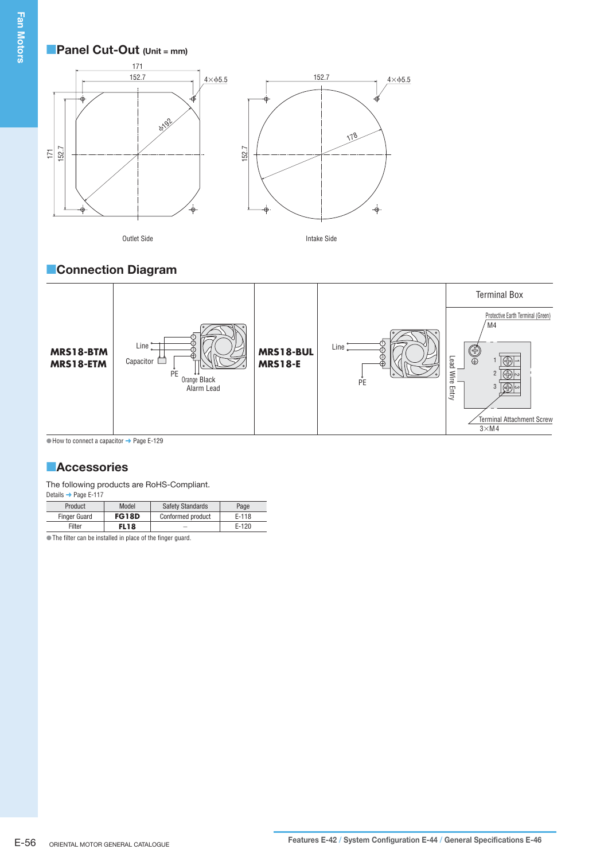### **Panel Cut-Out (Unit = mm)**



Outlet Side **Intake Side** 



# **Connection Diagram**



 $\bullet$  How to connect a capacitor  $\rightarrow$  Page E-129

### **Accessories**

The following products are RoHS-Compliant.

| Details → Page E-117 |              |                         |         |
|----------------------|--------------|-------------------------|---------|
| Product              | Model        | <b>Safety Standards</b> | Page    |
| <b>Finger Guard</b>  | <b>FG18D</b> | Conformed product       | $E-118$ |
| Filter               | <b>FL18</b>  |                         | $E-120$ |

The filter can be installed in place of the finger guard. -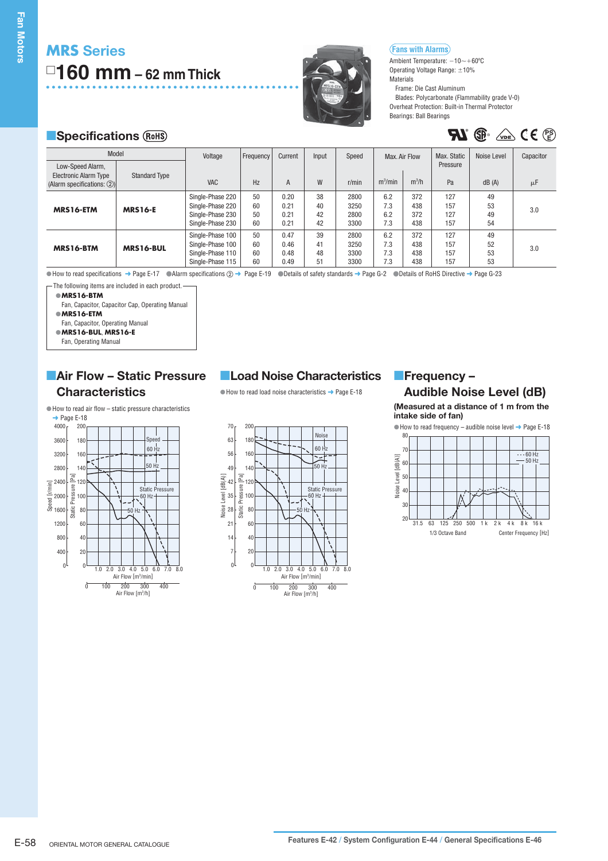# **MRS Series 160 mm – 62 mm Thick**



#### **Fans with Alarms**

Ambient Temperature:  $-10\mathtt{\sim}+60\mathtt{^oC}$ Operating Voltage Range:  $\pm 10\%$ Materials

Frame: Die Cast Aluminum

Blades: Polycarbonate (Flammability grade V-0) Overheat Protection: Built-in Thermal Protector Bearings: Ball Bearings

**EL**<sup>®</sup> (De CE<sup>®</sup>)

# **Specifications** (RoHS) **Specifications** (RoHS) **PU** (See Let  $\mathbb{R}^s$   $\mathbb{Z}^s$  (Ce Let  $\mathbb{R}^s$

| Model                                                                              |                      |                                                                              |                      |                              |                      |                              |                                      |                          |                               |                      |                 |
|------------------------------------------------------------------------------------|----------------------|------------------------------------------------------------------------------|----------------------|------------------------------|----------------------|------------------------------|--------------------------------------|--------------------------|-------------------------------|----------------------|-----------------|
| Low-Speed Alarm,<br><b>Electronic Alarm Type</b><br>(Alarm specifications: $(2)$ ) | <b>Standard Type</b> | Voltage<br>VAC                                                               | Frequency<br>Hz      | Current<br>A                 | Input<br>W           | Speed<br>r/min               | Max. Air Flow<br>m <sup>3</sup> /min | $m^3/h$                  | Max. Static<br>Pressure<br>Pa | Noise Level<br>dB(A) | Capacitor<br>μF |
| MRS16-ETM                                                                          | <b>MRS16-E</b>       | Single-Phase 220<br>Single-Phase 220<br>Single-Phase 230<br>Single-Phase 230 | 50<br>60<br>50<br>60 | 0.20<br>0.21<br>0.21<br>0.21 | 38<br>40<br>42<br>42 | 2800<br>3250<br>2800<br>3300 | 6.2<br>7.3<br>6.2<br>7.3             | 372<br>438<br>372<br>438 | 127<br>157<br>127<br>157      | 49<br>53<br>49<br>54 | 3.0             |
| MRS16-BTM                                                                          | MRS16-BUL            | Single-Phase 100<br>Single-Phase 100<br>Single-Phase 110<br>Single-Phase 115 | 50<br>60<br>60<br>60 | 0.47<br>0.46<br>0.48<br>0.49 | 39<br>41<br>48<br>51 | 2800<br>3250<br>3300<br>3300 | 6.2<br>7.3<br>7.3<br>7.3             | 372<br>438<br>438<br>438 | 127<br>157<br>157<br>157      | 49<br>52<br>53<br>53 | 3.0             |

 $\odot$  How to read specifications  $\rightarrow$  Page E-17  $\odot$  Alarm specifications  $\oslash$   $\rightarrow$  Page E-19  $\odot$  Details of safety standards  $\rightarrow$  Page G-2  $\odot$  Details of RoHS Directive  $\rightarrow$  Page G-23

**MRS16-BTM** - The following items are included in each product.

Fan, Capacitor, Capacitor Cap, Operating Manual

● MRS16-ETM

Fan, Capacitor, Operating Manual

**MRS16-BUL**, **MRS16-E** -

Fan, Operating Manual

# **Air Flow – Static Pressure Characteristics**



# **Load Noise Characteristics**

● How to read load noise characteristics → Page E-18



# **Frequency –**

**Audible Noise Level (dB)** 

**(Measured at a distance of 1 m from the intake side of fan)**

 $\bullet$  How to read frequency – audible noise level  $\rightarrow$  Page E-18 80